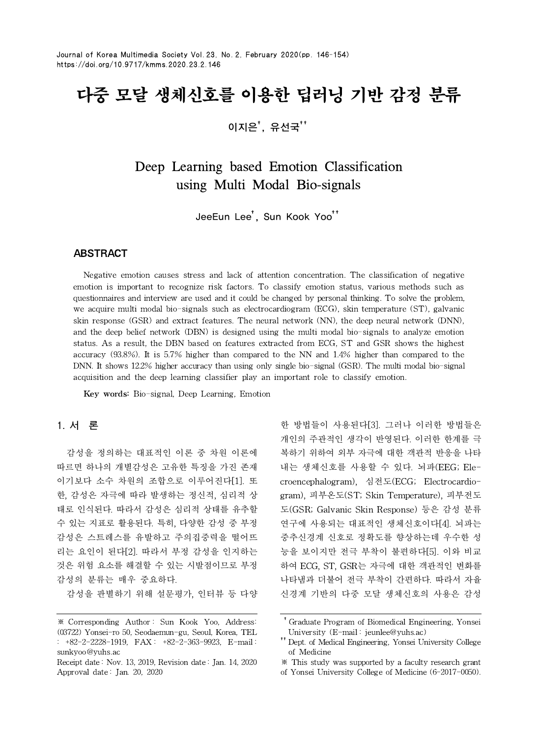# 다중 모달 생체신호를 이용한 딥러닝 기반 감정 분류

이지은 $^*$ , 유선국 $^{**}$ 

Deep Learning based Emotion Classification using Multi Modal Bio-signals

JeeEun Lee<sup>†</sup>, Sun Kook Yoo<sup>++</sup>

# **ABSTRACT**

Negative emotion causes stress and lack of attention concentration. The classification of negative emotion is important to recognize risk factors. To classify emotion status, various methods such as questionnaires and interview are used and it could be changed by personal thinking. To solve the problem, we acquire multi modal bio-signals such as electrocardiogram (ECG), skin temperature (ST), galvanic skin response (GSR) and extract features. The neural network (NN), the deep neural network (DNN), and the deep belief network (DBN) is designed using the multi modal bio-signals to analyze emotion status. As a result, the DBN based on features extracted from ECG, ST and GSR shows the highest accuracy (93.8%). It is 5.7% higher than compared to the NN and 1.4% higher than compared to the DNN. It shows 12.2% higher accuracy than using only single bio-signal (GSR). The multi modal bio-signal acquisition and the deep learning classifier play an important role to classify emotion.

Key words: Bio-signal, Deep Learning, Emotion

# **1. 서 론**

감성을 정의하는 대표적인 이론 중 차원 이론에 따르면 하나의 개별감성은 고유한 특징을 가진 존재 이기보다 소수 차원의 조합으로 이루어진다[1]. 또 한, 감성은 자극에 따라 발생하는 정신적, 심리적 상 태로 인식된다. 따라서 감성은 심리적 상태를 유추할 수 있는 지표로 활용된다. 특히, 다양한 감성 중 부정 감성은 스트레스를 유발하고 주의집중력을 떨어뜨 리는 요인이 된다[2]. 따라서 부정 감성을 인지하는 것은 위험 요소를 해결할 수 있는 시발점이므로 부정 감성의 분류는 매우 중요하다.

감성을 판별하기 위해 설문평가, 인터뷰 등 다양

한 방법들이 사용된다[3]. 그러나 이러한 방법들은 개인의 주관적인 생각이 반영된다. 이러한 한계를 극 복하기 위하여 외부 자극에 대한 객관적 반응을 나타 내는 생체신호를 사용할 수 있다. 뇌파(EEG; Elecroencephalogram), 심전도(ECG; Electrocardiogram), 피부온도(ST; Skin Temperature), 피부전도 도(GSR; Galvanic Skin Response) 등은 감성 분류 연구에 사용되는 대표적인 생체신호이다[4]. 뇌파는 중추신경계 신호로 정확도를 향상하는데 우수한 성 능을 보이지만 전극 부착이 불편하다[5]. 이와 비교 하여 ECG, ST, GSR는 자극에 대한 객관적인 변화를 나타냄과 더불어 전극 부착이 간편하다. 따라서 자율 신경계 기반의 다중 모달 생체신호의 사용은 감성

<sup>※</sup> Corresponding Author : Sun Kook Yoo, Address: (03722) Yonsei-ro 50, Seodaemun-gu, Seoul, Korea, TEL : +82-2-2228-1919, FAX : +82-2-363-9923, E-mail : sunkyoo@yuhs.ac

Receipt date : Nov. 13, 2019, Revision date : Jan. 14, 2020 Approval date : Jan. 20, 2020

<sup>††</sup>Graduate Program of Biomedical Engineering, Yonsei University (E-mail : jeunlee@yuhs.ac)

<sup>††</sup>Dept. of Medical Engineering, Yonsei University College of Medicine

<sup>※</sup> This study was supported by a faculty research grant

of Yonsei University College of Medicine (6-2017-0050).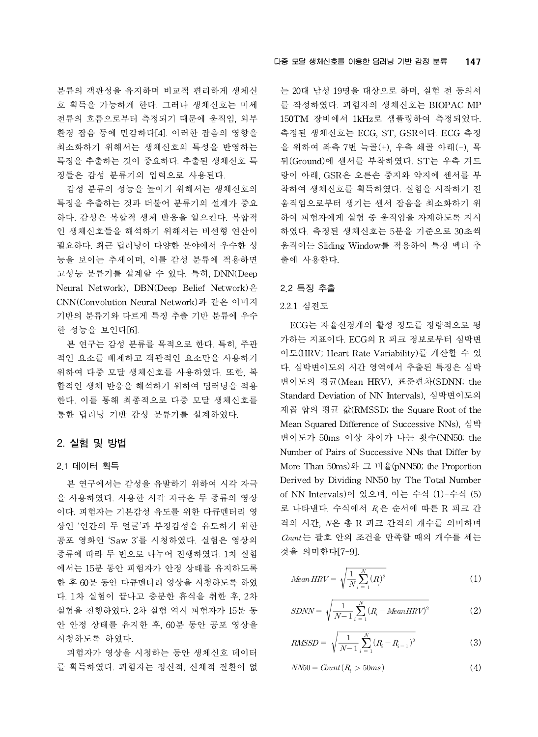분류의 객관성을 유지하며 비교적 편리하게 생체신 호 획득을 가능하게 한다. 그러나 생체신호는 미세 전류의 흐름으로부터 측정되기 때문에 움직임, 외부 환경 잡음 등에 민감하다[4]. 이러한 잡음의 영향을 최소화하기 위해서는 생체신호의 특성을 반영하는 특징을 추출하는 것이 중요하다. 추출된 생체신호 특 징들은 감성 분류기의 입력으로 사용된다.

감성 분류의 성능을 높이기 위해서는 생체신호의 특징을 추출하는 것과 더불어 분류기의 설계가 중요 하다. 감성은 복합적 생체 반응을 일으킨다. 복합적 인 생체신호들을 해석하기 위해서는 비선형 연산이 필요하다. 최근 딥러닝이 다양한 분야에서 우수한 성 능을 보이는 추세이며, 이를 감성 분류에 적용하면 고성능 분류기를 설계할 수 있다. 특히, DNN(Deep Neural Network), DBN(Deep Belief Network)은 CNN(Convolution Neural Network)과 같은 이미지 기반의 분류기와 다르게 특징 추출 기반 분류에 우수 한 성능을 보인다[6].

본 연구는 감성 분류를 목적으로 한다. 특히, 주관 적인 요소를 배제하고 객관적인 요소만을 사용하기 위하여 다중 모달 생체신호를 사용하였다. 또한, 복 합적인 생체 반응을 해석하기 위하여 딥러닝을 적용 한다. 이를 통해 최종적으로 다중 모달 생체신호를 통한 딥러닝 기반 감성 분류기를 설계하였다.

# **2. 실험 및 방법**

#### 2.1 데이터 획득

본 연구에서는 감성을 유발하기 위하여 시각 자극 을 사용하였다. 사용한 시각 자극은 두 종류의 영상 이다. 피험자는 기본감성 유도를 위한 다큐멘터리 영 상인 '인간의 두 얼굴'과 부정감성을 유도하기 위한 공포 영화인 'Saw 3'를 시청하였다. 실험은 영상의 종류에 따라 두 번으로 나누어 진행하였다. 1차 실험 에서는 15분 동안 피험자가 안정 상태를 유지하도록 한 후 60분 동안 다큐멘터리 영상을 시청하도록 하였 다. 1차 실험이 끝나고 충분한 휴식을 취한 후, 2차 실험을 진행하였다. 2차 실험 역시 피험자가 15분 동 안 안정 상태를 유지한 후, 60분 동안 공포 영상을 시청하도록 하였다.

피험자가 영상을 시청하는 동안 생체신호 데이터 를 획득하였다. 피험자는 정신적, 신체적 질환이 없 는 20대 남성 19명을 대상으로 하며, 실험 전 동의서 를 작성하였다. 피험자의 생체신호는 BIOPAC MP 150TM 장비에서 1kHz로 샘플링하여 측정되었다. 측정된 생체신호는 ECG, ST, GSR이다. ECG 측정 을 위하여 좌측 7번 늑골(+), 우측 쇄골 아래(-), 목 뒤(Ground)에 센서를 부착하였다. ST는 우측 겨드 랑이 아래, GSR은 오른손 중지와 약지에 센서를 부 착하여 생체신호를 획득하였다. 실험을 시작하기 전 움직임으로부터 생기는 센서 잡음을 최소화하기 위 하여 피험자에게 실험 중 움직임을 자제하도록 지시 하였다. 측정된 생체신호는 5분을 기준으로 30초씩 움직이는 Sliding Window를 적용하여 특징 벡터 추 출에 사용한다.

## 2.2 특징 추출

## 2.2.1 심전도

ECG는 자율신경계의 활성 정도를 정량적으로 평 가하는 지표이다. ECG의 R 피크 정보로부터 심박변 이도(HRV; Heart Rate Variability)를 계산할 수 있 다. 심박변이도의 시간 영역에서 추출된 특징은 심박 변이도의 평균(Mean HRV), 표준편차(SDNN; the Standard Deviation of NN Intervals), 심박변이도의 제곱 합의 평균 값(RMSSD; the Square Root of the Mean Squared Difference of Successive NNs), 심박 변이도가 50ms 이상 차이가 나는 횟수(NN50; the Number of Pairs of Successive NNs that Differ by More Than 50ms)와 그 비율(pNN50; the Proportion Derived by Dividing NN50 by The Total Number of NN Intervals)이 있으며, 이는 수식 (1)-수식 (5) 로 나타낸다. 수식에서  $R$ 은 순서에 따른 R 피크 간 격의 시간, N은 총 R 피크 간격의 개수를 의미하며  $\emph{Count}$ 는 괄호 안의 조건을 만족할 때의 개수를 세는 것을 의미한다[7-9]. i 에서  $R_i$ 도<br>총 R 피크<br>의 조건을<br>-9].<br><u>1  $\sum_{i=1}^{N}(R_i)^2$ </u> airs of Successive NNs t<br>Oms)와 그 비율(pNN50; t<br>Dividing NN50 by The T<br>als)이 있으며, 이는 수식<br>수식에서 *R*<sub>,</sub>은 순서에 따<br>은 총 R 피크 간격의 개<br>안의 조건을 만족할 때의<br>가[7-9].<br> $=\sqrt{\frac{1}{N}\sum_{i=1}^{N}(R_{i})^{2}}$ ,  $\frac{1}{N}$ ,  $\frac{N}{N}$ ,  $\frac{1}{N}$  로 드 가<br>- 총 R 피크 간격의<br>안의 조건을 만족할<br> $[7-9]$ .<br> $\sqrt{\frac{1}{N} \sum_{i=1}^{N} (R_i)^2}$ <br> $\frac{1}{N-1} \sum_{i=1}^{N} (R_i - \text{MeanHF})^2$ 

$$
Mean HRV = \sqrt{\frac{1}{N} \sum_{i=1}^{N} (R_i)^2}
$$
 (1)

$$
SDNN = \sqrt{\frac{1}{N-1} \sum_{i=1}^{N} (R_i - Mean HRV)^2}
$$
 (2)

$$
RMSSD = \sqrt{\frac{1}{N-1} \sum_{i=1}^{N} (R_i - R_{i-1})^2}
$$
 (3)

$$
NN50 = Count(R_i > 50ms)
$$
\n<sup>(4)</sup>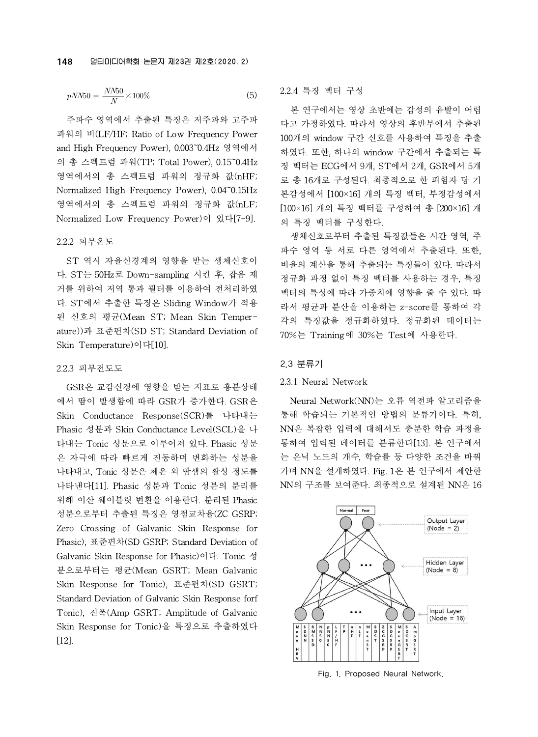$$
pNN50 = \frac{NN50}{N} \times 100\%
$$
 (5)

주파수 영역에서 추출된 특징은 저주파와 고주파 파워의 비(LF/HF; Ratio of Low Frequency Power and High Frequency Power), 0.003~0.4Hz 영역에서 의 총 스펙트럼 파워(TP; Total Power), 0.15~0.4Hz 영역에서의 총 스펙트럼 파워의 정규화 값(nHF; Normalized High Frequency Power), 0.04~0.15Hz 영역에서의 총 스펙트럼 파워의 정규화 값(nLF; Normalized Low Frequency Power)이 있다[7-9].

#### 2.2.2 피부온도

ST 역시 자율신경계의 영향을 받는 생체신호이 다. ST는 50Hz로 Down-sampling 시킨 후, 잡음 제 거를 위하여 저역 통과 필터를 이용하여 전처리하였 다. ST에서 추출한 특징은 Sliding Window가 적용 된 신호의 평균(Mean ST; Mean Skin Temperature))과 표준편차(SD ST; Standard Deviation of Skin Temperature)이다[10].

#### 2.2.3 피부전도도

GSR은 교감신경에 영향을 받는 지표로 흥분상태 에서 땀이 발생함에 따라 GSR가 증가한다. GSR은 Skin Conductance Response(SCR)를 나타내는 Phasic 성분과 Skin Conductance Level(SCL)을 나 타내는 Tonic 성분으로 이루어져 있다. Phasic 성분 은 자극에 따라 빠르게 진동하며 변화하는 성분을 나타내고, Tonic 성분은 체온 외 땀샘의 활성 정도를 나타낸다[11]. Phasic 성분과 Tonic 성분의 분리를 위해 이산 웨이블릿 변환을 이용한다. 분리된 Phasic 성분으로부터 추출된 특징은 영점교차율(ZC GSRP; Zero Crossing of Galvanic Skin Response for Phasic), 표준편차(SD GSRP; Standard Deviation of Galvanic Skin Response for Phasic)이다. Tonic 성 분으로부터는 평균(Mean GSRT; Mean Galvanic Skin Response for Tonic), 표준편차(SD GSRT; Standard Deviation of Galvanic Skin Response forf Tonic), 진폭(Amp GSRT; Amplitude of Galvanic Skin Response for Tonic)을 특징으로 추출하였다 [12].

## 2.2.4 특징 벡터 구성

본 연구에서는 영상 초반에는 감성의 유발이 어렵 다고 가정하였다. 따라서 영상의 후반부에서 추출된 100개의 window 구간 신호를 사용하여 특징을 추출 하였다. 또한, 하나의 window 구간에서 추출되는 특 징 벡터는 ECG에서 9개, ST에서 2개, GSR에서 5개 로 총 16개로 구성된다. 최종적으로 한 피험자 당 기 본감성에서 [100×16] 개의 특징 벡터, 부정감성에서 [100×16] 개의 특징 벡터를 구성하여 총 [200×16] 개 의 특징 벡터를 구성한다.

생체신호로부터 추출된 특징값들은 시간 영역, 주 파수 영역 등 서로 다른 영역에서 추출된다. 또한, 비율의 계산을 통해 추출되는 특징들이 있다. 따라서 정규화 과정 없이 특징 벡터를 사용하는 경우, 특징 벡터의 특성에 따라 가중치에 영향을 줄 수 있다. 따 라서 평균과 분산을 이용하는 z-score를 통하여 각 각의 특징값을 정규화하였다. 정규화된 데이터는 70%는 Training에 30%는 Test에 사용한다.

# 2.3 분류기

# 2.3.1 Neural Network

Neural Network(NN)는 오류 역전파 알고리즘을 통해 학습되는 기본적인 방법의 분류기이다. 특히, NN은 복잡한 입력에 대해서도 충분한 학습 과정을 통하여 입력된 데이터를 분류한다[13]. 본 연구에서 는 은닉 노드의 개수, 학습률 등 다양한 조건을 바꿔 가며 NN을 설계하였다. Fig. 1은 본 연구에서 제안한 NN의 구조를 보여준다. 최종적으로 설계된 NN은 16



Fig. 1. Proposed Neural Network.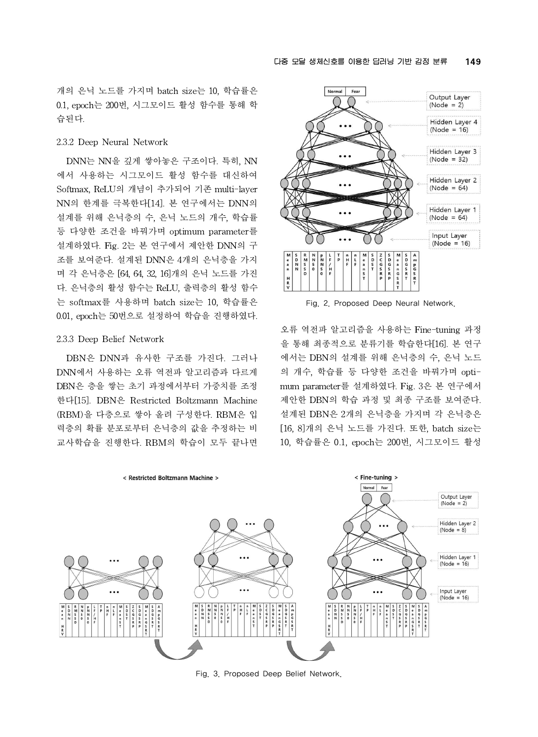개의 은닉 노드를 가지며 batch size는 10, 학습률은 0.1, epoch는 200번, 시그모이드 활성 함수를 통해 학 습된다.

#### 2.3.2 Deep Neural Network

DNN는 NN을 깊게 쌓아놓은 구조이다. 특히, NN 에서 사용하는 시그모이드 활성 함수를 대신하여 Softmax, ReLU의 개념이 추가되어 기존 multi-layer NN의 한계를 극복한다[14]. 본 연구에서는 DNN의 설계를 위해 은닉층의 수, 은닉 노드의 개수, 학습률 등 다양한 조건을 바꿔가며 optimum parameter를 설계하였다. Fig. 2는 본 연구에서 제안한 DNN의 구 조를 보여준다. 설계된 DNN은 4개의 은닉층을 가지 며 각 은닉층은 [64, 64, 32, 16]개의 은닉 노드를 가진 니 -<br>다 은닉층의 활성 함수는 ReLIJ 출력층의 활성 함수 나 - -다. 은닉층의 활성 함수는 ReLU, 출력층의 활성 함수 는 softmax를 사용하며 batch size는 10, 학습률은 0.01, epoch는 50번으로 설정하여 학습을 진행하였다.

#### 2.3.3 Deep Belief Network

DBN은 DNN과 유사한 구조를 가진다. 그러나 DNN에서 사용하는 오류 역전파 알고리즘과 다르게 DBN은 층을 쌓는 초기 과정에서부터 가중치를 조정 한다[15]. DBN은 Restricted Boltzmann Machine (RBM)을 다층으로 쌓아 올려 구성한다. RBM은 입 력층의 확률 분포로부터 은닉층의 값을 추정하는 비 교사학습을 진행한다. RBM의 학습이 모두 끝나면



Fig. 2. Proposed Deep Neural Network.

오류 역전파 알고리즘을 사용하는 Fine-tuning 과정 을 통해 최종적으로 분류기를 학습한다[16]. 본 연구 에서는 DBN의 설계를 위해 은닉층의 수, 은닉 노드 의 개수, 학습률 등 다양한 조건을 바꿔가며 optimum parameter를 설계하였다. Fig. 3은 본 연구에서 제안한 DBN의 학습 과정 및 최종 구조를 보여준다. 설계된 DBN은 2개의 은닉층을 가지며 각 은닉층은 [16, 8]개의 은닉 노드를 가진다. 또한, batch size는 10, 학습률은 0.1, epoch는 200번, 시그모이드 활성



Fig. 3. Proposed Deep Belief Network.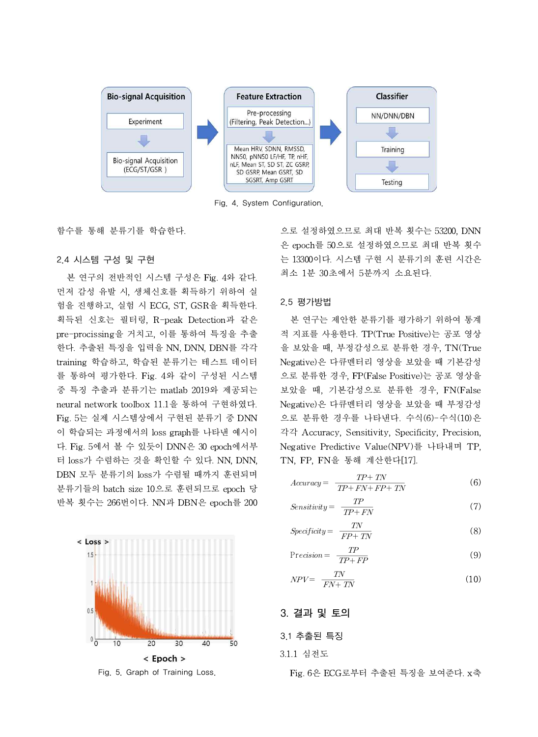

Fig. 4. System Configuration.

함수를 통해 분류기를 학습한다.

# 2.4 시스템 구성 및 구현

본 연구의 전반적인 시스템 구성은 Fig. 4와 같다. 먼저 감성 유발 시, 생체신호를 획득하기 위하여 실 험을 진행하고, 실험 시 ECG, ST, GSR을 획득한다. 획득된 신호는 필터링, R-peak Detection과 같은 pre-procissing을 거치고, 이를 통하여 특징을 추출 한다. 추출된 특징을 입력을 NN, DNN, DBN를 각각 training 학습하고, 학습된 분류기는 테스트 데이터 를 통하여 평가한다. Fig. 4와 같이 구성된 시스템 중 특징 추출과 분류기는 matlab 2019와 제공되는 neural network toolbox 11.1을 통하여 구현하였다. Fig. 5는 실제 시스템상에서 구현된 분류기 중 DNN 이 학습되는 과정에서의 loss graph를 나타낸 예시이 다. Fig. 5에서 볼 수 있듯이 DNN은 30 epoch에서부 터 loss가 수렴하는 것을 확인할 수 있다. NN, DNN, DBN 모두 분류기의 loss가 수렴될 때까지 훈련되며 분류기들의 batch size 10으로 훈련되므로 epoch 당 반복 횟수는 266번이다. NN과 DBN은 epoch를 200



Fig. 5. Graph of Training Loss.

으로 설정하였으므로 최대 반복 횟수는 53200, DNN 은 epoch를 50으로 설정하였으므로 최대 반복 횟수 는 13300이다. 시스템 구현 시 분류기의 훈련 시간은 최소 1분 30초에서 5분까지 소요된다.

### 2.5 평가방법

본 연구는 제안한 분류기를 평가하기 위하여 통계 적 지표를 사용한다. TP(True Positive)는 공포 영상 을 보았을 때, 부정감성으로 분류한 경우, TN(True Negative)은 다큐멘터리 영상을 보았을 때 기본감성 으로 분류한 경우, FP(False Positive)는 공포 영상을 보았을 때, 기본감성으로 분류한 경우, FN(False Negative)은 다큐멘터리 영상을 보았을 때 부정감성 으로 분류한 경우를 나타낸다. 수식(6)-수식(10)은 각각 Accuracy, Sensitivity, Specificity, Precision, Negative Predictive Value(NPV)를 나타내며 TP, TN, FP, FN을 통해 계산한다[17]. 모 군규인 경구, FT (Fase Fositive)는 흥료<br>았을 때, 기본감성으로 분류한 경우, F<br>gative)은 다큐멘터리 영상을 보았을 때<br>로 분류한 경우를 나타낸다. 수식(6)-수<br>각 Accuracy, Sensitivity, Specificity, P<br>gative Predictive Value(NPV)를 나타니<br>V, FP, FN을 통해 계산한다[17].<br>Accuracy=  $\frac{TP+TN}{$ 

$$
Accuracy = \frac{TP + TN}{TP + FN + FP + TN}
$$
\n
$$
Sensitivity = \frac{TP}{TP + FN}
$$
\n(6)

$$
TP + FN + FP + TN
$$
\n
$$
Sensitivity = \frac{TP}{TP + FN}
$$
\n
$$
(7)
$$
\n
$$
Specificity = \frac{TN}{FP + TN}
$$
\n
$$
(8)
$$

$$
TP + FN
$$
  
Specificity = 
$$
\frac{TN}{FP + TN}
$$
 (8)  
Precision = 
$$
\frac{TP}{TP + FP}
$$
 (9)

$$
FP + TN
$$
  
Precision = 
$$
\frac{TP}{TP + FP}
$$
 (9)  

$$
NPV = \frac{TN}{FN + TN}
$$
 (10)

$$
NPV = \frac{TN}{FN + TN}
$$
\n<sup>(10)</sup>

# **3. 결과 및 토의**

# 3.1 추출된 특징

# 3.1.1 심전도

Fig. 6은 ECG로부터 추출된 특징을 보여준다. x축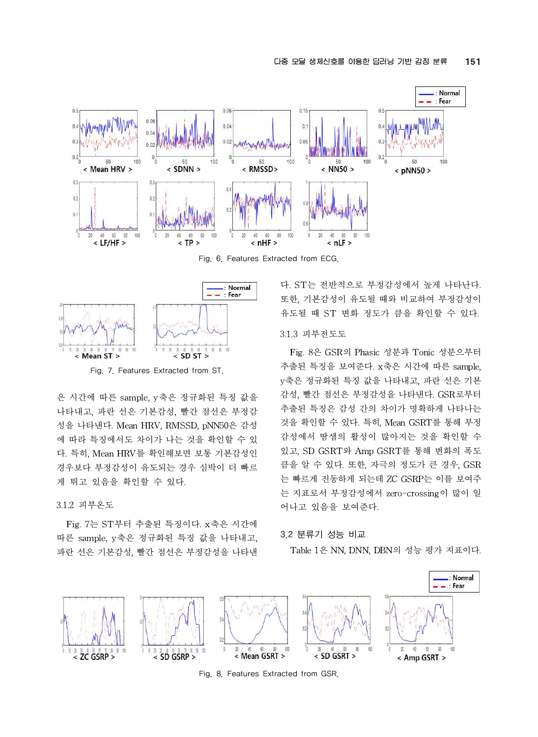

Fig. 6. Features Extracted from ECG.



Fig. 7. Features Extracted from ST.

은 시간에 따른 sample, y축은 정규화된 특징 값을 나타내고, 파란 선은 기본감성, 빨간 점선은 부정감 성을 나타낸다. Mean HRV, RMSSD, pNN50은 감성 에 따라 특징에서도 차이가 나는 것을 확인할 수 있 다. 특히, Mean HRV를 확인해보면 보통 기본감성인 경우보다 부정감성이 유도되는 경우 심박이 더 빠르 게 뛰고 있음을 확인할 수 있다.

# 3.1.2 피부온도

Fig. 7는 ST부터 추출된 특징이다. x축은 시간에 따른 sample, y축은 정규화된 특징 값을 나타내고, 파란 선은 기본감성, 빨간 점선은 부정감성을 나타낸

다. ST는 전반적으로 부정감성에서 높게 나타난다. 또한, 기본감성이 유도될 때와 비교하여 부정감성이 유도될 때 ST 변화 정도가 큼을 확인할 수 있다.

### 3.1.3 피부전도도

Fig. 8은 GSR의 Phasic 성분과 Tonic 성분으부터 추출된 특징을 보여준다. x축은 시간에 따른 sample, y축은 정규화된 특징 값을 나타내고, 파란 선은 기본 감성, 빨간 점선은 부정감성을 나타낸다. GSR로부터 추출된 특징은 감성 간의 차이가 명확하게 나타나는 것을 확인할 수 있다. 특히, Mean GSRT를 통해 부정 감성에서 땀샘의 활성이 많아지는 것을 확인할 수 있고, SD GSRT와 Amp GSRT를 통해 변화의 폭도 큼을 알 수 있다. 또한, 자극의 정도가 큰 경우, GSR 는 빠르게 진동하게 되는데 ZC GSRP는 이를 보여주 는 지표로서 부정감성에서 zero-crossing이 많이 일 어나고 있음을 보여준다.

## 3.2 분류기 성능 비교

Table 1은 NN, DNN, DBN의 성능 평가 지표이다.



Fig. 8. Features Extracted from GSR.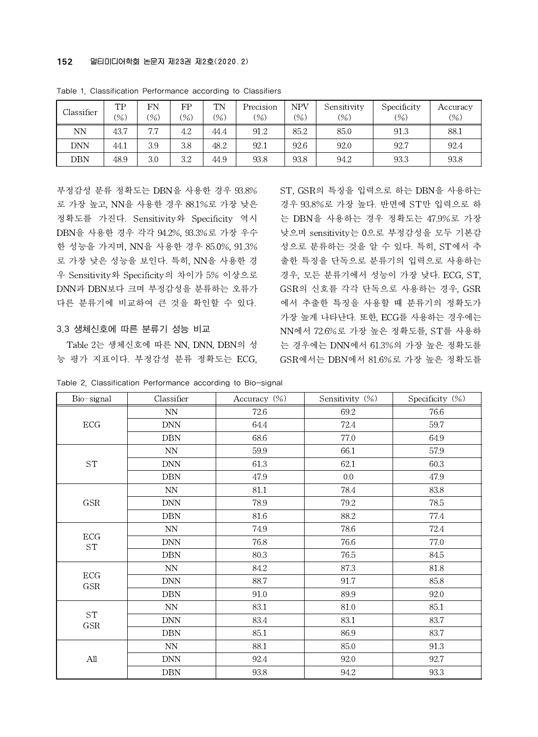| Classifier | TP<br>$(\% )$ | FN<br>$(\% )$ | FP<br>$(\%)$ | TN<br>(%) | <b>Contract Contract</b><br>Precision<br>(%) | NPV<br>(%) | Sensitivity<br>$(\%)$ | Specificity<br>$(\%)$ | Accuracy<br>(% ) |
|------------|---------------|---------------|--------------|-----------|----------------------------------------------|------------|-----------------------|-----------------------|------------------|
| NN         | 43.7          | 7.7           | 4.2          | 44.4      | 91.2                                         | 85.2       | 85.0                  | 91.3                  | 88.1             |
| <b>DNN</b> | 44.1          | 3.9           | 3.8          | 48.2      | 92.1                                         | 92.6       | 92.0                  | 92.7                  | 92.4             |
| DBN        | 48.9          | 3.0           | 3.2          | 44.9      | 93.8                                         | 93.8       | 94.2                  | 93.3                  | 93.8             |

Table 1. Classification Performance according to Classifiers

부정감성 분류 정확도는 DBN을 사용한 경우 93.8% 로 가장 높고, NN을 사용한 경우 88.1%로 가장 낮은 정확도를 가진다. Sensitivity와 Specificity 역시 DBN을 사용한 경우 각각 94.2%, 93.3%로 가장 우수 한 성능을 가지며, NN을 사용한 경우 85.0%, 91.3% 로 가장 낮은 성능을 보인다. 특히, NN을 사용한 경 우 Sensitivity와 Specificity의 차이가 5% 이상으로 DNN과 DBN보다 크며 부정감성을 분류하는 오류가 다른 분류기에 비교하여 큰 것을 확인할 수 있다.

### 3.3 생체신호에 따른 분류기 성능 비교

Table 2는 생체신호에 따른 NN, DNN, DBN의 성 능 평가 지표이다. 부정감성 분류 정확도는 ECG, ST, GSR의 특징을 입력으로 하는 DBN을 사용하는 경우 93.8%로 가장 높다. 반면에 ST만 입력으로 하 는 DBN을 사용하는 경우 정확도는 47.9%로 가장 낮으며 sensitivity는 0으로 부정감성을 모두 기본감 성으로 분류하는 것을 알 수 있다. 특히, ST에서 추 출한 특징을 단독으로 분류기의 입력으로 사용하는 경우, 모든 분류기에서 성능이 가장 낮다. ECG, ST, GSR의 신호를 각각 단독으로 사용하는 경우, GSR 에서 추출한 특징을 사용할 때 분류기의 정확도가 가장 높게 나타난다. 또한, ECG를 사용하는 경우에는 NN에서 72.6%로 가장 높은 정확도를, ST를 사용하 는 경우에는 DNN에서 61.3%의 가장 높은 정확도를 GSR에서는 DBN에서 81.6%로 가장 높은 정확도를

| Bio-signal                  | Classifier                  | Accuracy (%) | Sensitivity (%) | Specificity $(\%)$ |
|-----------------------------|-----------------------------|--------------|-----------------|--------------------|
| $\rm ECG$                   | NN.                         | 72.6         | 69.2            | 76.6               |
|                             | <b>DNN</b>                  | 64.4         | 72.4            | 59.7               |
|                             | <b>DBN</b>                  | 68.6         | 77.0            | 64.9               |
| $\operatorname{ST}$         | ${\rm NN}$                  | 59.9         | 66.1            | 57.9               |
|                             | <b>DNN</b>                  | 61.3         | 62.1            | 60.3               |
|                             | <b>DBN</b>                  | 47.9         | 0.0             | 47.9               |
| $\operatorname{GSR}$        | $\ensuremath{\text{NN}}$    | $81.1\,$     | 78.4            | 83.8               |
|                             | <b>DNN</b>                  | 78.9         | 79.2            | 78.5               |
|                             | <b>DBN</b>                  | 81.6         | 88.2            | 77.4               |
| ECG<br>$\operatorname{ST}$  | $\ensuremath{\text{NN}}$    | 74.9         | 78.6            | 72.4               |
|                             | $\mathop{\rm DNN}\nolimits$ | 76.8         | 76.6            | 77.0               |
|                             | <b>DBN</b>                  | 80.3         | 76.5            | 84.5               |
| ECG<br>$\operatorname{GSR}$ | NN                          | 84.2         | 87.3            | 81.8               |
|                             | <b>DNN</b>                  | 88.7         | 91.7            | 85.8               |
|                             | <b>DBN</b>                  | 91.0         | 89.9            | 92.0               |
| $\operatorname{ST}$<br>GSR  | NN                          | 83.1         | 81.0            | 85.1               |
|                             | <b>DNN</b>                  | 83.4         | 83.1            | 83.7               |
|                             | <b>DBN</b>                  | 85.1         | 86.9            | 83.7               |
|                             | NN.                         | 88.1         | 85.0            | 91.3               |
| All                         | <b>DNN</b>                  | 92.4         | 92.0            | 92.7               |
|                             | DBN                         | 93.8         | 94.2            | 93.3               |

Table 2. Classification Performance according to Bio-signal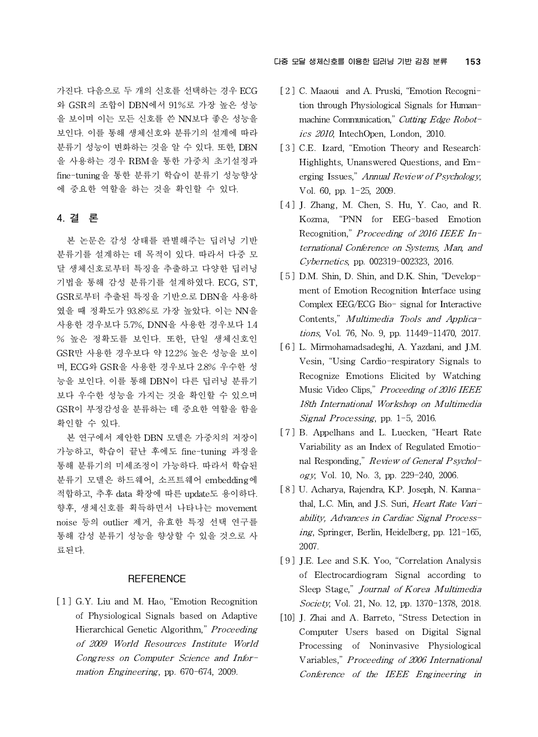가진다. 다음으로 두 개의 신호를 선택하는 경우 ECG 와 GSR의 조합이 DBN에서 91%로 가장 높은 성능 을 보이며 이는 모든 신호를 쓴 NN보다 좋은 성능을 보인다. 이를 통해 생체신호와 분류기의 설계에 따라 분류기 성능이 변화하는 것을 알 수 있다. 또한, DBN 을 사용하는 경우 RBM을 통한 가중치 초기설정과 fine-tuning을 통한 분류기 학습이 분류기 성능향상 에 중요한 역할을 하는 것을 확인할 수 있다.

# **4. 결 론**

본 논문은 감성 상태를 판별해주는 딥러닝 기반 분류기를 설계하는 데 목적이 있다. 따라서 다중 모 달 생체신호로부터 특징을 추출하고 다양한 딥러닝 기법을 통해 감성 분류기를 설계하였다. ECG, ST, GSR로부터 추출된 특징을 기반으로 DBN을 사용하 였을 때 정확도가 93.8%로 가장 높았다. 이는 NN을 사용한 경우보다 5.7%, DNN을 사용한 경우보다 1.4 % 높은 정확도를 보인다. 또한, 단일 생체신호인 GSR만 사용한 경우보다 약 12.2% 높은 성능을 보이 며, ECG와 GSR을 사용한 경우보다 2.8% 우수한 성 능을 보인다. 이를 통해 DBN이 다른 딥러닝 분류기 보다 우수한 성능을 가지는 것을 확인할 수 있으며 GSR이 부정감성을 분류하는 데 중요한 역할을 함을 확인할 수 있다.

본 연구에서 제안한 DBN 모델은 가중치의 저장이 가능하고, 학습이 끝난 후에도 fine-tuning 과정을 통해 분류기의 미세조정이 가능하다. 따라서 학습된 분류기 모델은 하드웨어, 소프트웨어 embedding에 적합하고, 추후 data 확장에 따른 update도 용이하다. 향후, 생체신호를 획득하면서 나타나는 movement noise 등의 outlier 제거, 유효한 특징 선택 연구를 통해 감성 분류기 성능을 향상할 수 있을 것으로 사 료된다.

# **REFERENCE**

[1] G.Y. Liu and M. Hao, "Emotion Recognition of Physiological Signals based on Adaptive **REFERENCE**<br>
G.Y. Liu and M. Hao, "Emotion Recognition<br>
of Physiological Signals based on Adaptive<br>
Hierarchical Genetic Algorithm," *Proceeding*<br>
of 2009 World Resources Institute World of 2009 World Resources Institute World Congress on Computer Science and Information Engineering, pp. 670-674, 2009.

## 다중 모달 생체신호를 이용한 딥러닝 기반 감정 분류 153

- [ 2 ] C. Maaoui and A. Pruski, "Emotion Recognition through Physiological Signals for Humanmachine Communication," Cutting Edge Robotics 2010, IntechOpen, London, 2010.
- [3] C.E. Izard, "Emotion Theory and Research: Highlights, Unanswered Questions, and Emerging Issues," Annual Review of Psychology, Vol. 60, pp. 1-25, 2009.
- [4] J. Zhang, M. Chen, S. Hu, Y. Cao, and R. Kozma, "PNN for EEG-based Emotion erging issues, *Annual Review of Psychology*,<br>Vol. 60, pp. 1–25, 2009.<br>J. Zhang, M. Chen, S. Hu, Y. Cao, and R.<br>Kozma, "PNN for EEG-based Emotion<br>Recognition," *Proceeding of 2016 IEEE In*ternational Conference on Systems, Man, and Cybernetics, pp. 002319-002323, 2016.
- [5] D.M. Shin, D. Shin, and D.K. Shin, "Development of Emotion Recognition Interface using Complex EEG/ECG Bio- signal for Interactive Contents," Multimedia Tools and Applications, Vol. 76, No. 9, pp. 11449-11470, 2017.
- [6] L. Mirmohamadsadeghi, A. Yazdani, and J.M. Vesin, "Using Cardio-respiratory Signals to Recognize Emotions Elicited by Watching Music Video Clips," Proceeding of 2016 IEEE 18th International Workshop on Multimedia vesin, Using Cardio-respiratory Signal Recognize Emotions Elicited by W<br>Music Video Clips," *Proceeding of 2016*<br>*18th International Workshop on Muli<br>Signal Processing*, pp. 1-5, 2016.
- [7] B. Appelhans and L. Luecken, "Heart Rate Variability as an Index of Regulated Emotional Responding," Review of General Psychology, Vol. 10, No. 3, pp. 229-240, 2006.
- [ 8 ] U. Acharya, Rajendra, K.P. Joseph, N. Kannathal, L.C. Min, and J.S. Suri, Heart Rate Varinal Responding, *Review of General Psychol-*<br> *ogy*, Vol. 10, No. 3, pp. 229–240, 2006.<br>
U. Acharya, Rajendra, K.P. Joseph, N. Kanna-<br>
thal, L.C. Min, and J.S. Suri, *Heart Rate Vari-*<br> *ability, Advances in Cardiac Signal* ing, Springer, Berlin, Heidelberg, pp. 121-165, 2007.
- [9] J.E. Lee and S.K. Yoo, "Correlation Analysis of Electrocardiogram Signal according to Sleep Stage," Journal of Korea Multimedia Society, Vol. 21, No. 12, pp. 1370-1378, 2018.
- [10] J. Zhai and A. Barreto, "Stress Detection in Computer Users based on Digital Signal Processing of Noninvasive Physiological Variables," Proceeding of 2006 International Conference of the IEEE Engineering in